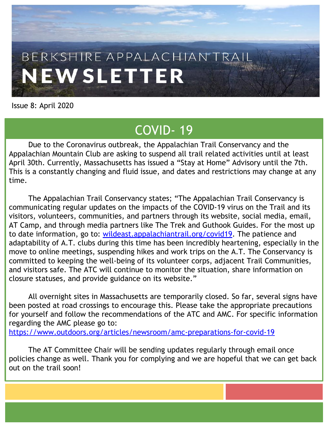# BERKSHIRE APPALACHIAN TRAI **NEWSLETTER**

Issue 8: April 2020

## COVID- 19

Due to the Coronavirus outbreak, the Appalachian Trail Conservancy and the Appalachian Mountain Club are asking to suspend all trail related activities until at least April 30th. Currently, Massachusetts has issued a "Stay at Home" Advisory until the 7th. This is a constantly changing and fluid issue, and dates and restrictions may change at any time.

The Appalachian Trail Conservancy states; "The Appalachian Trail Conservancy is communicating regular updates on the impacts of the COVID-19 virus on the Trail and its visitors, volunteers, communities, and partners through its website, social media, email, AT Camp, and through media partners like The Trek and Guthook Guides. For the most up to date information, go to: [wildeast.appalachiantrail.org/covid19.](http://wildeast.appalachiantrail.org/covid19) The patience and adaptability of A.T. clubs during this time has been incredibly heartening, especially in the move to online meetings, suspending hikes and work trips on the A.T. The Conservancy is committed to keeping the well-being of its volunteer corps, adjacent Trail Communities, and visitors safe. The ATC will continue to monitor the situation, share information on closure statuses, and provide guidance on its website."

All overnight sites in Massachusetts are temporarily closed. So far, several signs have been posted at road crossings to encourage this. Please take the appropriate precautions for yourself and follow the recommendations of the ATC and AMC. For specific information regarding the AMC please go to:

<https://www.outdoors.org/articles/newsroom/amc-preparations-for-covid-19>

The AT Committee Chair will be sending updates regularly through email once policies change as well. Thank you for complying and we are hopeful that we can get back out on the trail soon!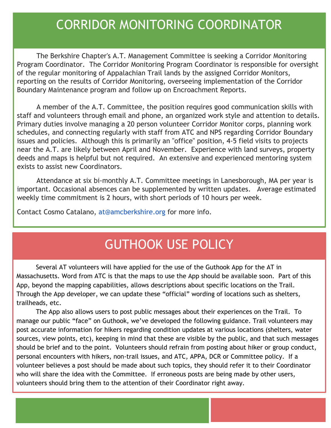## CORRIDOR MONITORING COORDINATOR

The Berkshire Chapter's A.T. Management Committee is seeking a Corridor Monitoring Program Coordinator. The Corridor Monitoring Program Coordinator is responsible for oversight of the regular monitoring of Appalachian Trail lands by the assigned Corridor Monitors, reporting on the results of Corridor Monitoring, overseeing implementation of the Corridor Boundary Maintenance program and follow up on Encroachment Reports.

A member of the A.T. Committee, the position requires good communication skills with staff and volunteers through email and phone, an organized work style and attention to details. Primary duties involve managing a 20 person volunteer Corridor Monitor corps, planning work schedules, and connecting regularly with staff from ATC and NPS regarding Corridor Boundary issues and policies. Although this is primarily an "office" position, 4-5 field visits to projects near the A.T. are likely between April and November. Experience with land surveys, property deeds and maps is helpful but not required. An extensive and experienced mentoring system exists to assist new Coordinators.

Attendance at six bi-monthly A.T. Committee meetings in Lanesborough, MA per year is important. Occasional absences can be supplemented by written updates. Average estimated weekly time commitment is 2 hours, with short periods of 10 hours per week.

Contact Cosmo Catalano, at@amcberkshire.org for more info.

## GUTHOOK USE POLICY

Several AT volunteers will have applied for the use of the Guthook App for the AT in Massachusetts. Word from ATC is that the maps to use the App should be available soon. Part of this App, beyond the mapping capabilities, allows descriptions about specific locations on the Trail. Through the App developer, we can update these "official" wording of locations such as shelters, trailheads, etc.

The App also allows users to post public messages about their experiences on the Trail. To manage our public "face" on Guthook, we've developed the following guidance. Trail volunteers may post accurate information for hikers regarding condition updates at various locations (shelters, water sources, view points, etc), keeping in mind that these are visible by the public, and that such messages should be brief and to the point. Volunteers should refrain from posting about hiker or group conduct, personal encounters with hikers, non-trail issues, and ATC, APPA, DCR or Committee policy. If a volunteer believes a post should be made about such topics, they should refer it to their Coordinator who will share the idea with the Committee. If erroneous posts are being made by other users, volunteers should bring them to the attention of their Coordinator right away.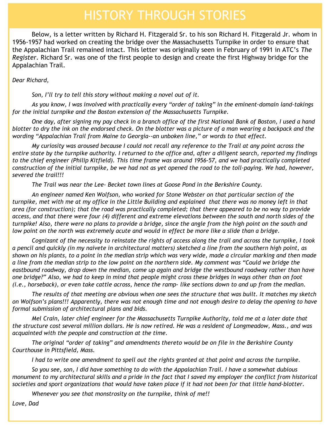## HISTORY THROUGH STORIES

Below, is a letter written by Richard H. Fitzgerald Sr. to his son Richard H. Fitzgerald Jr. whom in 1956-1957 had worked on creating the bridge over the Massachusetts Turnpike in order to ensure that the Appalachian Trail remained intact. This letter was originally seen in February of 1991 in ATC's *The Register.* Richard Sr. was one of the first people to design and create the first Highway bridge for the Appalachian Trail.

*Dear Richard,* 

*Son, I'll try to tell this story without making a novel out of it.*

*As you know, I was involved with practically every "order of taking" in the eminent-domain land-takings for the initial turnpike and the Boston extension of the Massachusetts Turnpike.* 

*One day, after signing my pay check in a branch office of the first National Bank of Boston, I used a hand blotter to dry the ink on the endorsed check. On the blotter was a picture of a man wearing a backpack and the wording "Appalachian Trail from Maine to Georgia--an unboken line," or words to that effect.* 

*My curiosity was aroused because I could not recall any reference to the Trail at any point across the entire state by the turnpike authority. I returned to the office and, after a diligent search, reported my findings to the chief engineer (Philip Kitfield). This time frame was around 1956-57, and we had practically completed construction of the initial turnpike, be we had not as yet opened the road to the toll-paying. We had, however, severed the trail!!!*

*The Trail was near the Lee- Becket town lines at Goose Pond in the Berkshire County.* 

*An engineer named Ken Wolfson, who worked for Stone Webster on that particular section of the turnpike, met with me at my office in the Little Building and explained that there was no money left in that area (for construction); that the road was practically completed; that there appeared to be no way to provide access, and that there were four (4) different and extreme elevations between the south and north sides of the turnpike! Also, there were no plans to provide a bridge, since the angle from the high point on the south and*  low point on the north was extremely acute and would in effect be more like a slide than a bridge.

*Cognizant of the necessity to reinstate the rights of access along the trail and across the turnpike, I took a pencil and quickly (in my naivete in architectural matters) sketched a line from the southern high point, as shown on his plants, to a point in the median strip which was very wide, made a circular marking and then made a line from the median strip to the low point on the northern side. My comment was "Could we bridge the eastbound roadway, drop down the median, come up again and bridge the westbound roadway rather than have one bridge?" Also, we had to keep in mind that people might cross these bridges in ways other than on foot (i.e., horseback), or even take cattle across, hence the ramp- like sections down to and up from the median.* 

*The results of that meeting are obvious when one sees the structure that was built. It matches my sketch on Wolfson's plans!!! Apparently, there was not enough time and not enough desire to delay the opening to have formal submission of architectural plans and bids.* 

*Mel Crain, later chief engineer for the Massachusetts Turnpike Authority, told me at a later date that the structure cost several million dollars. He is now retired. He was a resident of Longmeadow, Mass., and was acquainted with the people and construction at the time.* 

*The original "order of taking" and amendments thereto would be on file in the Berkshire County Courthouse in Pittsfield, Mass.*

*I had to write one amendment to spell out the rights granted at that point and across the turnpike.* 

*So you see, son, I did have something to do with the Appalachian Trail. I have a somewhat dubious monument to my architectural skills and a pride in the fact that I saved my employer the conflict from historical societies and sport organizations that would have taken place if it had not been for that little hand-blotter.* 

*Whenever you see that monstrosity on the turnpike, think of me!!*

*Love, Dad*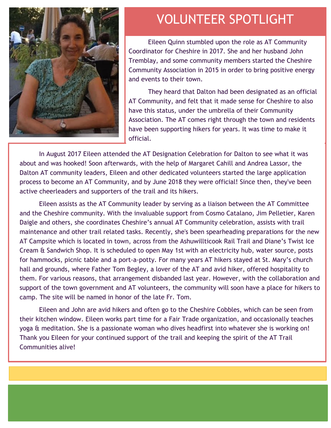

#### VOLUNTEER SPOTLIGHT

Eileen Quinn stumbled upon the role as AT Community Coordinator for Cheshire in 2017. She and her husband John Tremblay, and some community members started the Cheshire Community Association in 2015 in order to bring positive energy and events to their town.

They heard that Dalton had been designated as an official AT Community, and felt that it made sense for Cheshire to also have this status, under the umbrella of their Community Association. The AT comes right through the town and residents have been supporting hikers for years. It was time to make it official.

In August 2017 Eileen attended the AT Designation Celebration for Dalton to see what it was about and was hooked! Soon afterwards, with the help of Margaret Cahill and Andrea Lassor, the Dalton AT community leaders, Eileen and other dedicated volunteers started the large application process to become an AT Community, and by June 2018 they were official! Since then, they've been active cheerleaders and supporters of the trail and its hikers.

Eileen assists as the AT Community leader by serving as a liaison between the AT Committee and the Cheshire community. With the invaluable support from Cosmo Catalano, Jim Pelletier, Karen Daigle and others, she coordinates Cheshire's annual AT Community celebration, assists with trail maintenance and other trail related tasks. Recently, she's been spearheading preparations for the new AT Campsite which is located in town, across from the Ashuwillticook Rail Trail and Diane's Twist Ice Cream & Sandwich Shop. It is scheduled to open May 1st with an electricity hub, water source, posts for hammocks, picnic table and a port-a-potty. For many years AT hikers stayed at St. Mary's church hall and grounds, where Father Tom Begley, a lover of the AT and avid hiker, offered hospitality to them. For various reasons, that arrangement disbanded last year. However, with the collaboration and support of the town government and AT volunteers, the community will soon have a place for hikers to camp. The site will be named in honor of the late Fr. Tom.

Eileen and John are avid hikers and often go to the Cheshire Cobbles, which can be seen from their kitchen window. Eileen works part time for a Fair Trade organization, and occasionally teaches yoga & meditation. She is a passionate woman who dives headfirst into whatever she is working on! Thank you Eileen for your continued support of the trail and keeping the spirit of the AT Trail Communities alive!